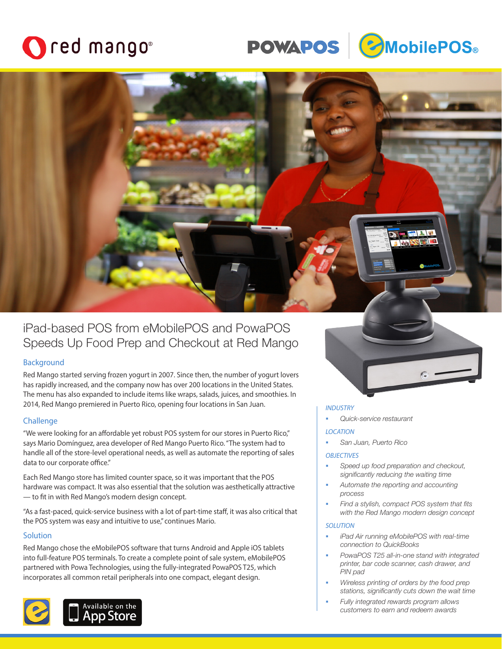## Ored mango<sup>®</sup>





## iPad-based POS from eMobilePOS and PowaPOS Speeds Up Food Prep and Checkout at Red Mango

## **Background**

Red Mango started serving frozen yogurt in 2007. Since then, the number of yogurt lovers has rapidly increased, and the company now has over 200 locations in the United States. The menu has also expanded to include items like wraps, salads, juices, and smoothies. In 2014, Red Mango premiered in Puerto Rico, opening four locations in San Juan.

## **Challenge**

"We were looking for an affordable yet robust POS system for our stores in Puerto Rico," says Mario Domínguez, area developer of Red Mango Puerto Rico. "The system had to handle all of the store-level operational needs, as well as automate the reporting of sales data to our corporate office."

Each Red Mango store has limited counter space, so it was important that the POS hardware was compact. It was also essential that the solution was aesthetically attractive — to fit in with Red Mango's modern design concept.

"As a fast-paced, quick-service business with a lot of part-time staff, it was also critical that the POS system was easy and intuitive to use," continues Mario.

## **Solution**

Red Mango chose the eMobilePOS software that turns Android and Apple iOS tablets into full-feature POS terminals. To create a complete point of sale system, eMobilePOS partnered with Powa Technologies, using the fully-integrated PowaPOS T25, which incorporates all common retail peripherals into one compact, elegant design.





#### *INDUSTRY*

*Quick-service restaurant*

## *LOCATION*

*San Juan, Puerto Rico*

## *OBJECTIVES*

- *Speed up food preparation and checkout, significantly reducing the waiting time*
- *Automate the reporting and accounting process*
- *Find a stylish, compact POS system that fits with the Red Mango modern design concept*

## *SOLUTION*

- *iPad Air running eMobilePOS with real-time connection to QuickBooks*
- *PowaPOS T25 all-in-one stand with integrated printer, bar code scanner, cash drawer, and PIN pad*
- *Wireless printing of orders by the food prep stations, significantly cuts down the wait time*
- *Fully integrated rewards program allows customers to earn and redeem awards*